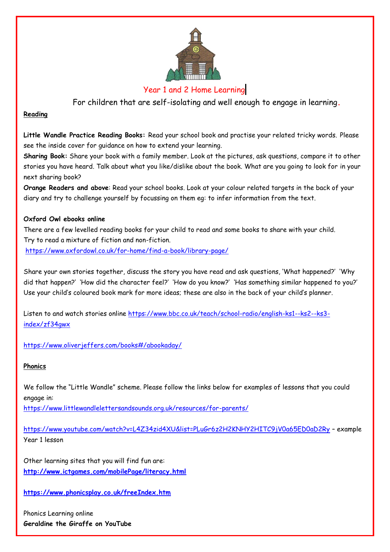

# Year 1 and 2 Home Learning

For children that are self-isolating and well enough to engage in learning**.**

## **Reading**

**Little Wandle Practice Reading Books:** Read your school book and practise your related tricky words. Please see the inside cover for guidance on how to extend your learning.

**Sharing Book:** Share your book with a family member. Look at the pictures, ask questions, compare it to other stories you have heard. Talk about what you like/dislike about the book. What are you going to look for in your next sharing book?

**Orange Readers and above**: Read your school books. Look at your colour related targets in the back of your diary and try to challenge yourself by focussing on them eg: to infer information from the text.

## **Oxford Owl ebooks online**

There are a few levelled reading books for your child to read and some books to share with your child. Try to read a mixture of fiction and non-fiction.

<https://www.oxfordowl.co.uk/for-home/find-a-book/library-page/>

Share your own stories together, discuss the story you have read and ask questions, 'What happened?' 'Why did that happen?' 'How did the character feel?' 'How do you know?' 'Has something similar happened to you?' Use your child's coloured book mark for more ideas; these are also in the back of your child's planner.

Listen to and watch stories online [https://www.bbc.co.uk/teach/school-radio/english-ks1--ks2--ks3](https://www.bbc.co.uk/teach/school-radio/english-ks1--ks2--ks3-index/zf34gwx) [index/zf34gwx](https://www.bbc.co.uk/teach/school-radio/english-ks1--ks2--ks3-index/zf34gwx)

<https://www.oliverjeffers.com/books#/abookaday/>

# **Phonics**

We follow the "Little Wandle" scheme. Please follow the links below for examples of lessons that you could engage in:

<https://www.littlewandlelettersandsounds.org.uk/resources/for-parents/>

<https://www.youtube.com/watch?v=L4Z34zid4XU&list=PLuGr6z2H2KNHY2HITC9jV0a65ED0aD2Ry> – example Year 1 lesson

Other learning sites that you will find fun are: **<http://www.ictgames.com/mobilePage/literacy.html>**

**<https://www.phonicsplay.co.uk/freeIndex.htm>**

Phonics Learning online **Geraldine the Giraffe on YouTube**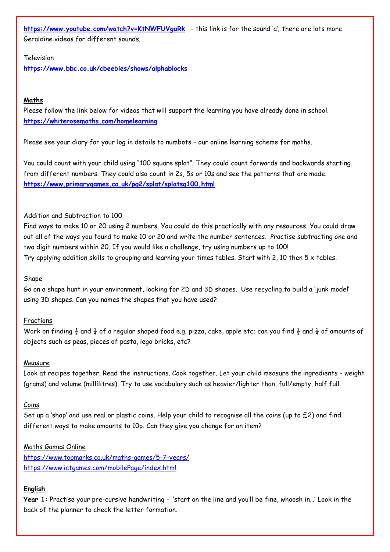**<https://www.youtube.com/watch?v=KtNWFUVgaRk>** - this link is for the sound 'a'; there are lots more Geraldine videos for different sounds.

#### Television

**<https://www.bbc.co.uk/cbeebies/shows/alphablocks>**

## **Maths**

Please follow the link below for videos that will support the learning you have already done in school. **<https://whiterosemaths.com/homelearning>**

Please see your diary for your log in details to numbots – our online learning scheme for maths.

You could count with your child using "100 square splat". They could count forwards and backwards starting from different numbers. They could also count in 2s, 5s or 10s and see the patterns that are made. **<https://www.primarygames.co.uk/pg2/splat/splatsq100.html>**

### Addition and Subtraction to 100

Find ways to make 10 or 20 using 2 numbers. You could do this practically with any resources. You could draw out all of the ways you found to make 10 or 20 and write the number sentences. Practise subtracting one and two digit numbers within 20. If you would like a challenge, try using numbers up to 100! Try applying addition skills to grouping and learning your times tables. Start with 2, 10 then  $5 \times$  tables.

### Shape

Go on a shape hunt in your environment, looking for 2D and 3D shapes. Use recycling to build a 'junk model' using 3D shapes. Can you names the shapes that you have used?

#### Fractions

Work on finding  $\frac{1}{2}$  and  $\frac{1}{4}$  of a regular shaped food e.g. pizza, cake, apple etc; can you find  $\frac{1}{2}$  and  $\frac{1}{4}$  of amounts of objects such as peas, pieces of pasta, lego bricks, etc?

#### **Measure**

Look at recipes together. Read the instructions. Cook together. Let your child measure the ingredients - weight (grams) and volume (millilitres). Try to use vocabulary such as heavier/lighter than, full/empty, half full.

#### Coins

Set up a 'shop' and use real or plastic coins. Help your child to recognise all the coins (up to £2) and find different ways to make amounts to 10p. Can they give you change for an item?

#### Maths Games Online

<https://www.topmarks.co.uk/maths-games/5-7-years/> <https://www.ictgames.com/mobilePage/index.html>

## **English**

**Year 1:** Practise your pre-cursive handwriting - 'start on the line and you'll be fine, whoosh in…' Look in the back of the planner to check the letter formation.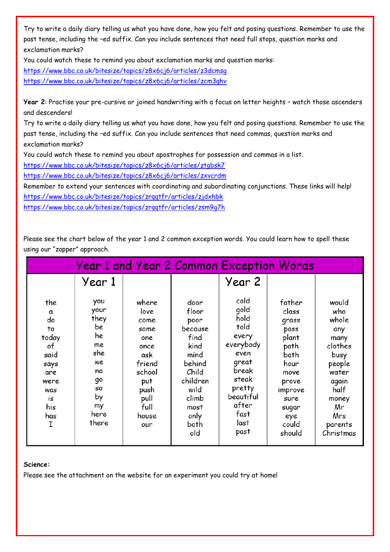Try to write a daily diary telling us what you have done, how you felt and posing questions. Remember to use the past tense, including the –ed suffix. Can you include sentences that need full stops, question marks and exclamation marks?

You could watch these to remind you about exclamation marks and question marks:

<https://www.bbc.co.uk/bitesize/topics/z8x6cj6/articles/z3dcmsg>

<https://www.bbc.co.uk/bitesize/topics/z8x6cj6/articles/zcm3qhv>

**Year 2**: Practise your pre-cursive or joined handwriting with a focus on letter heights – watch those ascenders and descenders!

Try to write a daily diary telling us what you have done, how you felt and posing questions. Remember to use the past tense, including the –ed suffix. Can you include sentences that need commas, question marks and exclamation marks?

You could watch these to remind you about apostrophes for possession and commas in a list.

<https://www.bbc.co.uk/bitesize/topics/z8x6cj6/articles/ztgbsk7>

<https://www.bbc.co.uk/bitesize/topics/z8x6cj6/articles/zxvcrdm>

Remember to extend your sentences with coordinating and subordinating conjunctions. These links will help! <https://www.bbc.co.uk/bitesize/topics/zrqqtfr/articles/zjdxhbk> <https://www.bbc.co.uk/bitesize/topics/zrqqtfr/articles/zsm9g7h>

Please see the chart below of the year 1 and 2 common exception words. You could learn how to spell these using our "zapper" approach.

| <b>Year 1 and Year 2 Common Exception Words</b>                                                    |                                                                                                   |                                                                                                                        |                                                                                                                                         |                                                                                                                                               |                                                                                                                                          |                                                                                                                                           |
|----------------------------------------------------------------------------------------------------|---------------------------------------------------------------------------------------------------|------------------------------------------------------------------------------------------------------------------------|-----------------------------------------------------------------------------------------------------------------------------------------|-----------------------------------------------------------------------------------------------------------------------------------------------|------------------------------------------------------------------------------------------------------------------------------------------|-------------------------------------------------------------------------------------------------------------------------------------------|
|                                                                                                    | Year 1                                                                                            |                                                                                                                        |                                                                                                                                         | Year 2                                                                                                                                        |                                                                                                                                          |                                                                                                                                           |
| the<br>a<br>do<br>to<br>today<br>of<br>said<br>says<br>are<br>were<br>was<br>is<br>his<br>has<br>I | you<br>your<br>they<br>be<br>he<br>me<br>she<br>we<br>no<br>go<br>S0<br>by<br>my<br>here<br>there | where<br>love<br>come<br>some<br>one<br>once<br>ask<br>friend<br>school<br>put<br>push<br>pull<br>full<br>house<br>our | door<br>floor<br>poor<br>because<br>find<br>kind<br>mind<br>behind<br>Child<br>children<br>wild<br>climb<br>most<br>only<br>both<br>old | cold<br>gold<br>hold<br>told<br>every<br>everybody<br>even<br>great<br>break<br>steak<br>pretty<br>beautiful<br>after<br>fast<br>last<br>past | father<br>class<br>grass<br>pass<br>plant<br>path<br>bath<br>hour<br>move<br>prove<br>improve<br>sure<br>sugar<br>eye<br>could<br>should | would<br>who<br>whole<br>any<br>many<br>clothes<br>busy<br>people<br>water<br>again<br>half<br>money<br>Mr<br>Mrs<br>parents<br>Christmas |

#### **Science:**

Please see the attachment on the website for an experiment you could try at home!